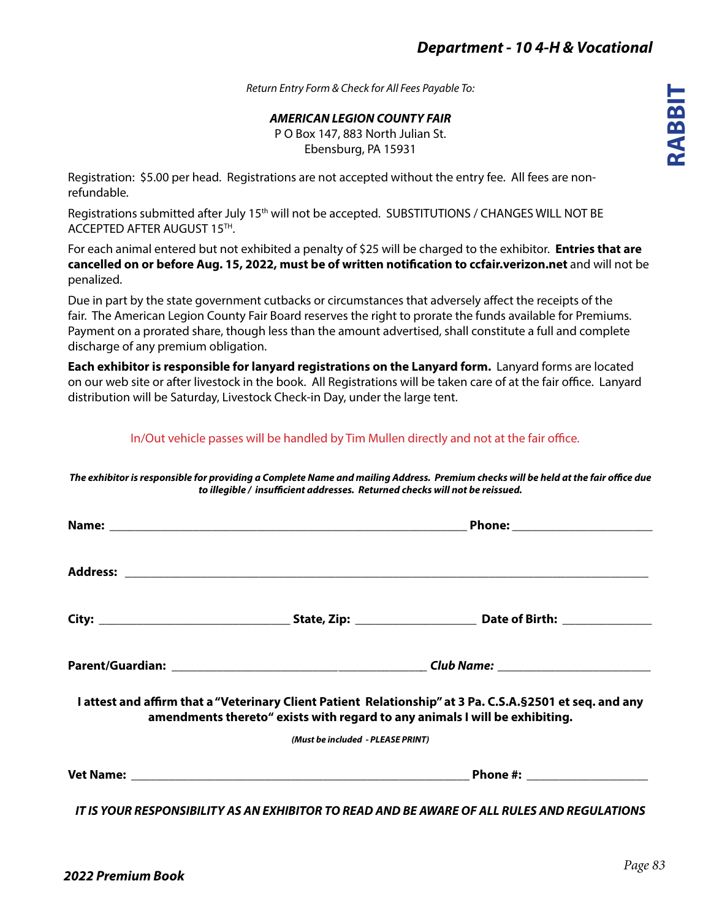*Return Entry Form & Check for All Fees Payable To:*

*AMERICAN LEGION COUNTY FAIR*

P O Box 147, 883 North Julian St. Ebensburg, PA 15931

Registration: \$5.00 per head. Registrations are not accepted without the entry fee. All fees are nonrefundable.

Registrations submitted after July 15<sup>th</sup> will not be accepted. SUBSTITUTIONS / CHANGES WILL NOT BE ACCEPTED AFTER AUGUST 15TH.

For each animal entered but not exhibited a penalty of \$25 will be charged to the exhibitor. **Entries that are cancelled on or before Aug. 15, 2022, must be of written notification to ccfair.verizon.net** and will not be penalized.

Due in part by the state government cutbacks or circumstances that adversely affect the receipts of the fair. The American Legion County Fair Board reserves the right to prorate the funds available for Premiums. Payment on a prorated share, though less than the amount advertised, shall constitute a full and complete discharge of any premium obligation.

**Each exhibitor is responsible for lanyard registrations on the Lanyard form.** Lanyard forms are located on our web site or after livestock in the book. All Registrations will be taken care of at the fair office. Lanyard distribution will be Saturday, Livestock Check-in Day, under the large tent.

In/Out vehicle passes will be handled by Tim Mullen directly and not at the fair office.

| amendments thereto" exists with regard to any animals I will be exhibiting. | I attest and affirm that a "Veterinary Client Patient Relationship" at 3 Pa. C.S.A. § 2501 et seq. and any |  |  |  |
|-----------------------------------------------------------------------------|------------------------------------------------------------------------------------------------------------|--|--|--|
| (Must be included - PLEASE PRINT)                                           |                                                                                                            |  |  |  |
|                                                                             |                                                                                                            |  |  |  |

*The exhibitor is responsible for providing a Complete Name and mailing Address. Premium checks will be held at the fair office due*